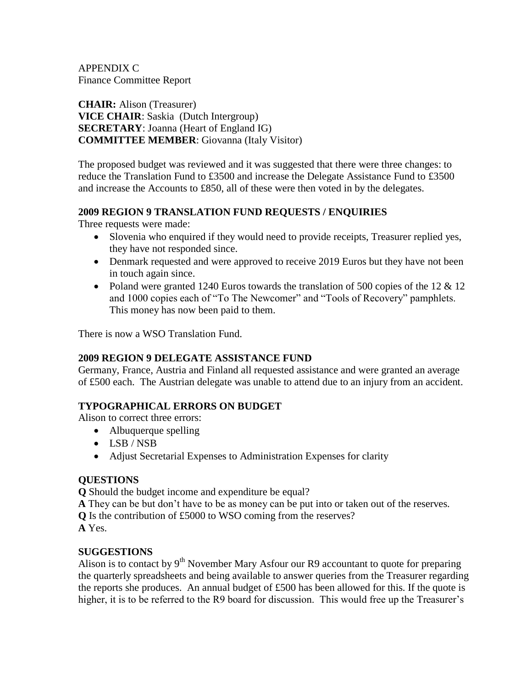APPENDIX C Finance Committee Report

**CHAIR:** Alison (Treasurer) **VICE CHAIR**: Saskia (Dutch Intergroup) **SECRETARY**: Joanna (Heart of England IG) **COMMITTEE MEMBER**: Giovanna (Italy Visitor)

The proposed budget was reviewed and it was suggested that there were three changes: to reduce the Translation Fund to £3500 and increase the Delegate Assistance Fund to £3500 and increase the Accounts to £850, all of these were then voted in by the delegates.

## **2009 REGION 9 TRANSLATION FUND REQUESTS / ENQUIRIES**

Three requests were made:

- Slovenia who enquired if they would need to provide receipts, Treasurer replied yes, they have not responded since.
- Denmark requested and were approved to receive 2019 Euros but they have not been in touch again since.
- Poland were granted 1240 Euros towards the translation of 500 copies of the 12 & 12 and 1000 copies each of "To The Newcomer" and "Tools of Recovery" pamphlets. This money has now been paid to them.

There is now a WSO Translation Fund.

## **2009 REGION 9 DELEGATE ASSISTANCE FUND**

Germany, France, Austria and Finland all requested assistance and were granted an average of £500 each. The Austrian delegate was unable to attend due to an injury from an accident.

# **TYPOGRAPHICAL ERRORS ON BUDGET**

Alison to correct three errors:

- Albuquerque spelling
- LSB / NSB
- Adjust Secretarial Expenses to Administration Expenses for clarity

## **QUESTIONS**

**Q** Should the budget income and expenditure be equal?

**A** They can be but don't have to be as money can be put into or taken out of the reserves.

**Q** Is the contribution of £5000 to WSO coming from the reserves?

**A** Yes.

# **SUGGESTIONS**

Alison is to contact by  $9<sup>th</sup>$  November Mary Asfour our R9 accountant to quote for preparing the quarterly spreadsheets and being available to answer queries from the Treasurer regarding the reports she produces. An annual budget of £500 has been allowed for this. If the quote is higher, it is to be referred to the R9 board for discussion. This would free up the Treasurer's